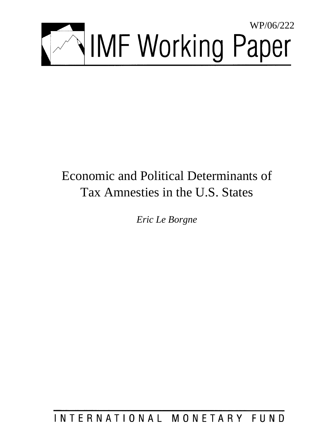

# Economic and Political Determinants of Tax Amnesties in the U.S. States

*Eric Le Borgne* 

INTERNATIONAL MONETARY FUND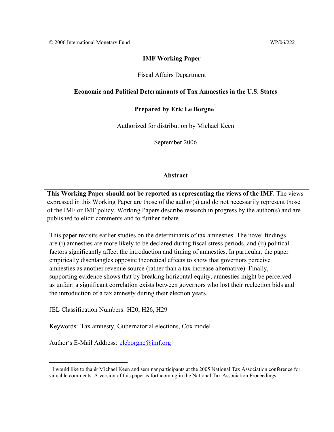# **IMF Working Paper**

# Fiscal Affairs Department

# **Economic and Political Determinants of Tax Amnesties in the U.S. States**

# Prepared by Eric Le Borgne<sup>1</sup>

Authorized for distribution by Michael Keen

September 2006

# **Abstract**

**This Working Paper should not be reported as representing the views of the IMF.** The views expressed in this Working Paper are those of the author(s) and do not necessarily represent those of the IMF or IMF policy. Working Papers describe research in progress by the author(s) and are published to elicit comments and to further debate.

This paper revisits earlier studies on the determinants of tax amnesties. The novel findings are (i) amnesties are more likely to be declared during fiscal stress periods, and (ii) political factors significantly affect the introduction and timing of amnesties. In particular, the paper empirically disentangles opposite theoretical effects to show that governors perceive amnesties as another revenue source (rather than a tax increase alternative). Finally, supporting evidence shows that by breaking horizontal equity, amnesties might be perceived as unfair: a significant correlation exists between governors who lost their reelection bids and the introduction of a tax amnesty during their election years.

JEL Classification Numbers: H20, H26, H29

Keywords: Tax amnesty, Gubernatorial elections, Cox model

Author's E-Mail Address: eleborgne@imf.org

<sup>&</sup>lt;sup>1</sup> I would like to thank Michael Keen and seminar participants at the 2005 National Tax Association conference for valuable comments. A version of this paper is forthcoming in the National Tax Association Proceedings.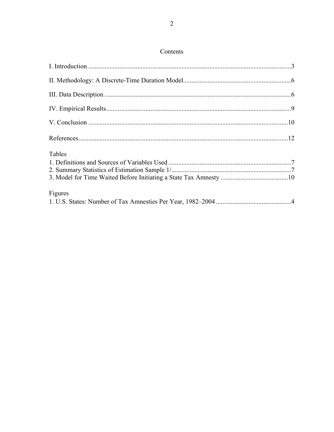# Contents

| Tables  |  |
|---------|--|
| Figures |  |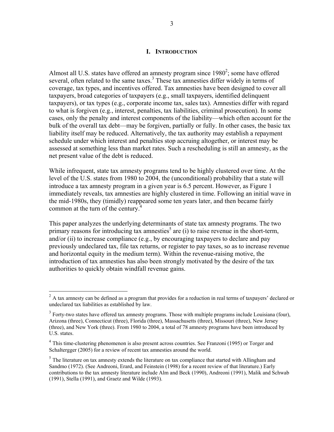# **I. INTRODUCTION**

Almost all U.S. states have offered an amnesty program since  $1980^2$ ; some have offered several, often related to the same taxes. $3$  These tax amnesties differ widely in terms of coverage, tax types, and incentives offered. Tax amnesties have been designed to cover all taxpayers, broad categories of taxpayers (e.g., small taxpayers, identified delinquent taxpayers), or tax types (e.g., corporate income tax, sales tax). Amnesties differ with regard to what is forgiven (e.g., interest, penalties, tax liabilities, criminal prosecution). In some cases, only the penalty and interest components of the liability—which often account for the bulk of the overall tax debt—may be forgiven, partially or fully. In other cases, the basic tax liability itself may be reduced. Alternatively, the tax authority may establish a repayment schedule under which interest and penalties stop accruing altogether, or interest may be assessed at something less than market rates. Such a rescheduling is still an amnesty, as the net present value of the debt is reduced.

While infrequent, state tax amnesty programs tend to be highly clustered over time. At the level of the U.S. states from 1980 to 2004, the (unconditional) probability that a state will introduce a tax amnesty program in a given year is 6.5 percent. However, as Figure 1 immediately reveals, tax amnesties are highly clustered in time. Following an initial wave in the mid-1980s, they (timidly) reappeared some ten years later, and then became fairly common at the turn of the century.<sup>4</sup>

This paper analyzes the underlying determinants of state tax amnesty programs. The two primary reasons for introducing tax amnesties<sup>5</sup> are (i) to raise revenue in the short-term, and/or (ii) to increase compliance (e.g., by encouraging taxpayers to declare and pay previously undeclared tax, file tax returns, or register to pay taxes, so as to increase revenue and horizontal equity in the medium term). Within the revenue-raising motive, the introduction of tax amnesties has also been strongly motivated by the desire of the tax authorities to quickly obtain windfall revenue gains.

 $2^2$  A tax amnesty can be defined as a program that provides for a reduction in real terms of taxpayers' declared or undeclared tax liabilities as established by law.

 $3$  Forty-two states have offered tax amnesty programs. Those with multiple programs include Louisiana (four), Arizona (three), Connecticut (three), Florida (three), Massachusetts (three), Missouri (three), New Jersey (three), and New York (three). From 1980 to 2004, a total of 78 amnesty programs have been introduced by U.S. states.

<sup>&</sup>lt;sup>4</sup> This time-clustering phenomenon is also present across countries. See Franzoni (1995) or Torger and Schaltergger (2005) for a review of recent tax amnesties around the world.

 $5$  The literature on tax amnesty extends the literature on tax compliance that started with Allingham and Sandmo (1972). (See Andreoni, Erard, and Feinstein (1998) for a recent review of that literature.) Early contributions to the tax amnesty literature include Alm and Beck (1990), Andreoni (1991), Malik and Schwab (1991), Stella (1991), and Graetz and Wilde (1993).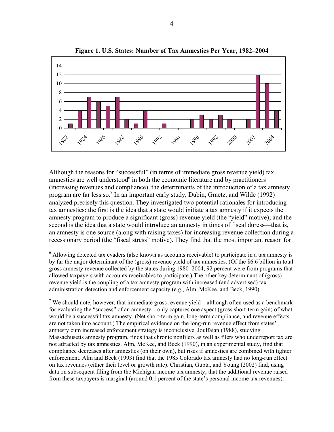

**Figure 1. U.S. States: Number of Tax Amnesties Per Year, 1982–2004** 

Although the reasons for "successful" (in terms of immediate gross revenue yield) tax amnesties are well understood<sup>6</sup> in both the economic literature and by practitioners (increasing revenues and compliance), the determinants of the introduction of a tax amnesty program are far less so.<sup>7</sup> In an important early study, Dubin, Graetz, and Wilde (1992) analyzed precisely this question. They investigated two potential rationales for introducing tax amnesties: the first is the idea that a state would initiate a tax amnesty if it expects the amnesty program to produce a significant (gross) revenue yield (the "yield" motive); and the second is the idea that a state would introduce an amnesty in times of fiscal duress—that is, an amnesty is one source (along with raising taxes) for increasing revenue collection during a recessionary period (the "fiscal stress" motive). They find that the most important reason for

<sup>&</sup>lt;sup>6</sup> Allowing detected tax evaders (also known as accounts receivable) to participate in a tax amnesty is by far the major determinant of the (gross) revenue yield of tax amnesties. (Of the \$6.6 billion in total gross amnesty revenue collected by the states during 1980–2004, 92 percent were from programs that allowed taxpayers with accounts receivables to participate.) The other key determinant of (gross) revenue yield is the coupling of a tax amnesty program with increased (and advertised) tax administration detection and enforcement capacity (e.g., Alm, McKee, and Beck, 1990).

<sup>&</sup>lt;sup>7</sup> We should note, however, that immediate gross revenue yield—although often used as a benchmark for evaluating the "success" of an amnesty—only captures one aspect (gross short-term gain) of what would be a successful tax amnesty. (Net short-term gain, long-term compliance, and revenue effects are not taken into account.) The empirical evidence on the long-run revenue effect from states' amnesty cum increased enforcement strategy is inconclusive. Joulfaian (1988), studying Massachusetts amnesty program, finds that chronic nonfilers as well as filers who underreport tax are not attracted by tax amnesties. Alm, McKee, and Beck (1990), in an experimental study, find that compliance decreases after amnesties (on their own), but rises if amnesties are combined with tighter enforcement. Alm and Beck (1993) find that the 1985 Colorado tax amnesty had no long-run effect on tax revenues (either their level or growth rate). Christian, Gupta, and Young (2002) find, using data on subsequent filing from the Michigan income tax amnesty, that the additional revenue raised from these taxpayers is marginal (around 0.1 percent of the state's personal income tax revenues).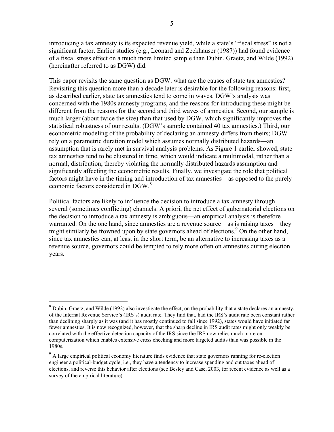introducing a tax amnesty is its expected revenue yield, while a state's "fiscal stress" is not a significant factor. Earlier studies (e.g., Leonard and Zeckhauser (1987)) had found evidence of a fiscal stress effect on a much more limited sample than Dubin, Graetz, and Wilde (1992) (hereinafter referred to as DGW) did.

This paper revisits the same question as DGW: what are the causes of state tax amnesties? Revisiting this question more than a decade later is desirable for the following reasons: first, as described earlier, state tax amnesties tend to come in waves. DGW's analysis was concerned with the 1980s amnesty programs, and the reasons for introducing these might be different from the reasons for the second and third waves of amnesties. Second, our sample is much larger (about twice the size) than that used by DGW, which significantly improves the statistical robustness of our results. (DGW's sample contained 40 tax amnesties.) Third, our econometric modeling of the probability of declaring an amnesty differs from theirs; DGW rely on a parametric duration model which assumes normally distributed hazards—an assumption that is rarely met in survival analysis problems. As Figure 1 earlier showed, state tax amnesties tend to be clustered in time, which would indicate a multimodal, rather than a normal, distribution, thereby violating the normally distributed hazards assumption and significantly affecting the econometric results. Finally, we investigate the role that political factors might have in the timing and introduction of tax amnesties—as opposed to the purely economic factors considered in DGW.<sup>8</sup>

Political factors are likely to influence the decision to introduce a tax amnesty through several (sometimes conflicting) channels. A priori, the net effect of gubernatorial elections on the decision to introduce a tax amnesty is ambiguous—an empirical analysis is therefore warranted. On the one hand, since amnesties are a revenue source—as is raising taxes—they might similarly be frowned upon by state governors ahead of elections.<sup>9</sup> On the other hand, since tax amnesties can, at least in the short term, be an alternative to increasing taxes as a revenue source, governors could be tempted to rely more often on amnesties during election years.

<sup>&</sup>lt;sup>8</sup> Dubin, Graetz, and Wilde (1992) also investigate the effect, on the probability that a state declares an amnesty, of the Internal Revenue Service's (IRS's) audit rate. They find that, had the IRS's audit rate been constant rather than declining sharply as it was (and it has mostly continued to fall since 1992), states would have initiated far fewer amnesties. It is now recognized, however, that the sharp decline in IRS audit rates might only weakly be correlated with the effective detection capacity of the IRS since the IRS now relies much more on computerization which enables extensive cross checking and more targeted audits than was possible in the 1980s.

<sup>&</sup>lt;sup>9</sup> A large empirical political economy literature finds evidence that state governors running for re-election engineer a political-budget cycle, i.e., they have a tendency to increase spending and cut taxes ahead of elections, and reverse this behavior after elections (see Besley and Case, 2003, for recent evidence as well as a survey of the empirical literature).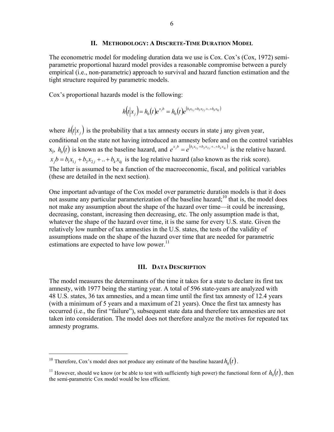#### **II. METHODOLOGY: A DISCRETE-TIME DURATION MODEL**

The econometric model for modeling duration data we use is Cox. Cox's (Cox, 1972) semiparametric proportional hazard model provides a reasonable compromise between a purely empirical (i.e., non-parametric) approach to survival and hazard function estimation and the tight structure required by parametric models.

Cox's proportional hazards model is the following:

$$
h(t|x_j) = h_0(t)e^{x_j b} = h_0(t)e^{(b_1 x_{1j} + b_2 x_{2j} + \ldots + b_k x_{kj})}
$$

where  $h(t|x_i)$  is the probability that a tax amnesty occurs in state j any given year, conditional on the state not having introduced an amnesty before and on the control variables  $x_j$ ,  $h_0(t)$  is known as the baseline hazard, and  $e^{x_j b} = e^{(b_1 x_1 + b_2 x_2 + \dots + b_k x_k)}$  is the relative hazard.  $x_j b = b_i x_{1j} + b_2 x_{2j} + ... + b_k x_{kj}$  is the log relative hazard (also known as the risk score). The latter is assumed to be a function of the macroeconomic, fiscal, and political variables (these are detailed in the next section).

One important advantage of the Cox model over parametric duration models is that it does not assume any particular parameterization of the baseline hazard;<sup>10</sup> that is, the model does not make any assumption about the shape of the hazard over time—it could be increasing, decreasing, constant, increasing then decreasing, etc. The only assumption made is that, whatever the shape of the hazard over time, it is the same for every U.S. state. Given the relatively low number of tax amnesties in the U.S. states, the tests of the validity of assumptions made on the shape of the hazard over time that are needed for parametric estimations are expected to have low power. $^{11}$ 

### **III. DATA DESCRIPTION**

The model measures the determinants of the time it takes for a state to declare its first tax amnesty, with 1977 being the starting year. A total of 596 state-years are analyzed with 48 U.S. states, 36 tax amnesties, and a mean time until the first tax amnesty of 12.4 years (with a minimum of 5 years and a maximum of 21 years). Once the first tax amnesty has occurred (i.e., the first "failure"), subsequent state data and therefore tax amnesties are not taken into consideration. The model does not therefore analyze the motives for repeated tax amnesty programs.

1

<sup>&</sup>lt;sup>10</sup> Therefore, Cox's model does not produce any estimate of the baseline hazard  $h_0(t)$ .

<sup>&</sup>lt;sup>11</sup> However, should we know (or be able to test with sufficiently high power) the functional form of  $h_0(t)$ , then the semi-parametric Cox model would be less efficient.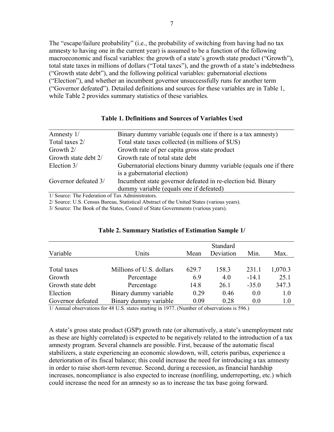The "escape/failure probability" (i.e., the probability of switching from having had no tax amnesty to having one in the current year) is assumed to be a function of the following macroeconomic and fiscal variables: the growth of a state's growth state product ("Growth"), total state taxes in millions of dollars ("Total taxes"), and the growth of a state's indebtedness ("Growth state debt"), and the following political variables: gubernatorial elections ("Election"), and whether an incumbent governor unsuccessfully runs for another term ("Governor defeated"). Detailed definitions and sources for these variables are in Table 1, while Table 2 provides summary statistics of these variables.

| Amnesty 1/                                                                      | Binary dummy variable (equals one if there is a tax amnesty)                                            |
|---------------------------------------------------------------------------------|---------------------------------------------------------------------------------------------------------|
| Total taxes 2/                                                                  | Total state taxes collected (in millions of \$US)                                                       |
| Growth 2/                                                                       | Growth rate of per capita gross state product                                                           |
| Growth state debt 2/                                                            | Growth rate of total state debt                                                                         |
| Election 3/                                                                     | Gubernatorial elections binary dummy variable (equals one if there<br>is a gubernatorial election)      |
| Governor defeated 3/                                                            | Incumbent state governor defeated in re-election bid. Binary<br>dummy variable (equals one if defeated) |
| $1/\Omega$ The $\Gamma$ is denoted by $\Omega$ Then $\Lambda$ due to the set of |                                                                                                         |

# **Table 1. Definitions and Sources of Variables Used**

1/ Source: The Federation of Tax Administrators.

2/ Source: U.S. Census Bureau, Statistical Abstract of the United States (various years).

3/ Source: The Book of the States, Council of State Governments (various years).

| Variable          | Units                    | Mean  | Standard<br>Deviation | Min.    | Max.    |
|-------------------|--------------------------|-------|-----------------------|---------|---------|
|                   |                          |       |                       |         |         |
| Total taxes       | Millions of U.S. dollars | 629.7 | 158.3                 | 231.1   | 1,070.3 |
| Growth            | Percentage               | 6.9   | 4.0                   | $-14.1$ | 25.1    |
| Growth state debt | Percentage               | 14.8  | 26.1                  | $-35.0$ | 347.3   |
| Election          | Binary dummy variable    | 0.29  | 0.46                  | 0.0     | 1.0     |
| Governor defeated | Binary dummy variable    | 0.09  | 0.28                  | 0.0     | 1.0     |

#### **Table 2. Summary Statistics of Estimation Sample 1/**

1/ Annual observations for 48 U.S. states starting in 1977. (Number of observations is 596.)

A state's gross state product (GSP) growth rate (or alternatively, a state's unemployment rate as these are highly correlated) is expected to be negatively related to the introduction of a tax amnesty program. Several channels are possible. First, because of the automatic fiscal stabilizers, a state experiencing an economic slowdown, will, ceteris paribus, experience a deterioration of its fiscal balance; this could increase the need for introducing a tax amnesty in order to raise short-term revenue. Second, during a recession, as financial hardship increases, noncompliance is also expected to increase (nonfiling, underreporting, etc.) which could increase the need for an amnesty so as to increase the tax base going forward.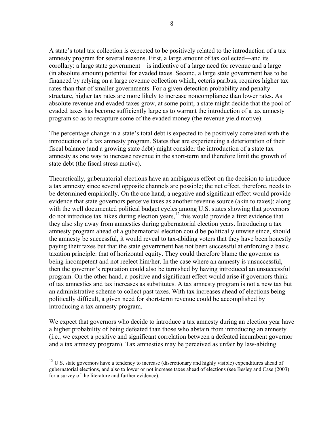A state's total tax collection is expected to be positively related to the introduction of a tax amnesty program for several reasons. First, a large amount of tax collected—and its corollary: a large state government—is indicative of a large need for revenue and a large (in absolute amount) potential for evaded taxes. Second, a large state government has to be financed by relying on a large revenue collection which, ceteris paribus, requires higher tax rates than that of smaller governments. For a given detection probability and penalty structure, higher tax rates are more likely to increase noncompliance than lower rates. As absolute revenue and evaded taxes grow, at some point, a state might decide that the pool of evaded taxes has become sufficiently large as to warrant the introduction of a tax amnesty program so as to recapture some of the evaded money (the revenue yield motive).

The percentage change in a state's total debt is expected to be positively correlated with the introduction of a tax amnesty program. States that are experiencing a deterioration of their fiscal balance (and a growing state debt) might consider the introduction of a state tax amnesty as one way to increase revenue in the short-term and therefore limit the growth of state debt (the fiscal stress motive).

Theoretically, gubernatorial elections have an ambiguous effect on the decision to introduce a tax amnesty since several opposite channels are possible; the net effect, therefore, needs to be determined empirically. On the one hand, a negative and significant effect would provide evidence that state governors perceive taxes as another revenue source (akin to taxes): along with the well documented political budget cycles among U.S. states showing that governors do not introduce tax hikes during election years,<sup>12</sup> this would provide a first evidence that they also shy away from amnesties during gubernatorial election years. Introducing a tax amnesty program ahead of a gubernatorial election could be politically unwise since, should the amnesty be successful, it would reveal to tax-abiding voters that they have been honestly paying their taxes but that the state government has not been successful at enforcing a basic taxation principle: that of horizontal equity. They could therefore blame the governor as being incompetent and not reelect him/her. In the case where an amnesty is unsuccessful, then the governor's reputation could also be tarnished by having introduced an unsuccessful program. On the other hand, a positive and significant effect would arise if governors think of tax amnesties and tax increases as substitutes. A tax amnesty program is not a new tax but an administrative scheme to collect past taxes. With tax increases ahead of elections being politically difficult, a given need for short-term revenue could be accomplished by introducing a tax amnesty program.

We expect that governors who decide to introduce a tax amnesty during an election year have a higher probability of being defeated than those who abstain from introducing an amnesty (i.e., we expect a positive and significant correlation between a defeated incumbent governor and a tax amnesty program). Tax amnesties may be perceived as unfair by law-abiding

<sup>&</sup>lt;sup>12</sup> U.S. state governors have a tendency to increase (discretionary and highly visible) expenditures ahead of gubernatorial elections, and also to lower or not increase taxes ahead of elections (see Besley and Case (2003) for a survey of the literature and further evidence).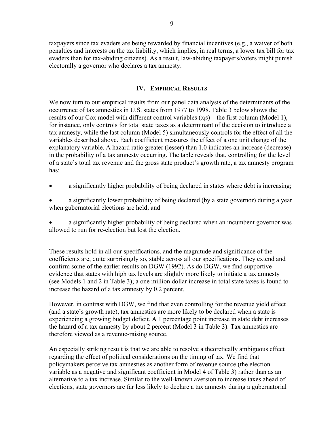taxpayers since tax evaders are being rewarded by financial incentives (e.g., a waiver of both penalties and interests on the tax liability, which implies, in real terms, a lower tax bill for tax evaders than for tax-abiding citizens). As a result, law-abiding taxpayers/voters might punish electorally a governor who declares a tax amnesty.

# **IV. EMPIRICAL RESULTS**

We now turn to our empirical results from our panel data analysis of the determinants of the occurrence of tax amnesties in U.S. states from 1977 to 1998. Table 3 below shows the results of our Cox model with different control variables  $(x_i s)$ —the first column (Model 1), for instance, only controls for total state taxes as a determinant of the decision to introduce a tax amnesty, while the last column (Model 5) simultaneously controls for the effect of all the variables described above. Each coefficient measures the effect of a one unit change of the explanatory variable. A hazard ratio greater (lesser) than 1.0 indicates an increase (decrease) in the probability of a tax amnesty occurring. The table reveals that, controlling for the level of a state's total tax revenue and the gross state product's growth rate, a tax amnesty program has:

a significantly higher probability of being declared in states where debt is increasing;

• a significantly lower probability of being declared (by a state governor) during a year when gubernatorial elections are held; and

• a significantly higher probability of being declared when an incumbent governor was allowed to run for re-election but lost the election.

These results hold in all our specifications, and the magnitude and significance of the coefficients are, quite surprisingly so, stable across all our specifications. They extend and confirm some of the earlier results on DGW (1992). As do DGW, we find supportive evidence that states with high tax levels are slightly more likely to initiate a tax amnesty (see Models 1 and 2 in Table 3); a one million dollar increase in total state taxes is found to increase the hazard of a tax amnesty by 0.2 percent.

However, in contrast with DGW, we find that even controlling for the revenue yield effect (and a state's growth rate), tax amnesties are more likely to be declared when a state is experiencing a growing budget deficit. A 1 percentage point increase in state debt increases the hazard of a tax amnesty by about 2 percent (Model 3 in Table 3). Tax amnesties are therefore viewed as a revenue-raising source.

An especially striking result is that we are able to resolve a theoretically ambiguous effect regarding the effect of political considerations on the timing of tax. We find that policymakers perceive tax amnesties as another form of revenue source (the election variable as a negative and significant coefficient in Model 4 of Table 3) rather than as an alternative to a tax increase. Similar to the well-known aversion to increase taxes ahead of elections, state governors are far less likely to declare a tax amnesty during a gubernatorial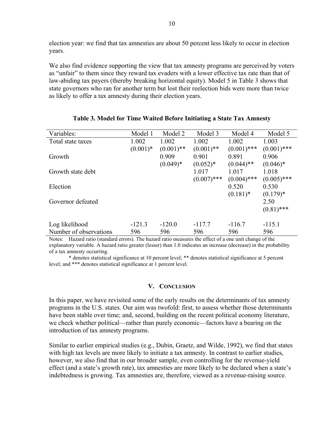election year: we find that tax amnesties are about 50 percent less likely to occur in election years.

We also find evidence supporting the view that tax amnesty programs are perceived by voters as "unfair" to them since they reward tax evaders with a lower effective tax rate than that of law-abiding tax payers (thereby breaking horizontal equity). Model 5 in Table 3 shows that state governors who ran for another term but lost their reelection bids were more than twice as likely to offer a tax amnesty during their election years.

| Variables:             | Model 1    | Model 2      | Model 3       | Model 4       | Model 5       |
|------------------------|------------|--------------|---------------|---------------|---------------|
| Total state taxes      | 1.002      | 1.002        | 1.002         | 1.002         | 1.003         |
|                        | $(0.001)*$ | $(0.001)$ ** | $(0.001)$ **  | $(0.001)$ *** | $(0.001)$ *** |
| Growth                 |            | 0.909        | 0.901         | 0.891         | 0.906         |
|                        |            | $(0.049)*$   | $(0.052)*$    | $(0.044)$ **  | $(0.046)*$    |
| Growth state debt      |            |              | 1.017         | 1.017         | 1.018         |
|                        |            |              | $(0.007)$ *** | $(0.004)$ *** | $(0.005)$ *** |
| Election               |            |              |               | 0.520         | 0.530         |
|                        |            |              |               | $(0.181)$ *   | $(0.179)*$    |
| Governor defeated      |            |              |               |               | 2.50          |
|                        |            |              |               |               | $(0.81)$ ***  |
|                        |            |              |               |               |               |
| Log likelihood         | $-121.3$   | $-120.0$     | $-117.7$      | $-116.7$      | $-115.1$      |
| Number of observations | 596        | 596          | 596           | 596           | 596           |

# **Table 3. Model for Time Waited Before Initiating a State Tax Amnesty**

Notes: Hazard ratio (standard errors). The hazard ratio measures the effect of a one unit change of the explanatory variable. A hazard ratio greater (lesser) than 1.0 indicates an increase (decrease) in the probability of a tax amnesty occurring.

\* denotes statistical significance at 10 percent level; \*\* denotes statistical significance at 5 percent level; and \*\*\* denotes statistical significance at 1 percent level.

#### **V. CONCLUSION**

In this paper, we have revisited some of the early results on the determinants of tax amnesty programs in the U.S. states. Our aim was twofold: first, to assess whether those determinants have been stable over time; and, second, building on the recent political economy literature, we check whether political—rather than purely economic—factors have a bearing on the introduction of tax amnesty programs.

Similar to earlier empirical studies (e.g., Dubin, Graetz, and Wilde, 1992), we find that states with high tax levels are more likely to initiate a tax amnesty. In contrast to earlier studies, however, we also find that in our broader sample, even controlling for the revenue-yield effect (and a state's growth rate), tax amnesties are more likely to be declared when a state's indebtedness is growing. Tax amnesties are, therefore, viewed as a revenue-raising source.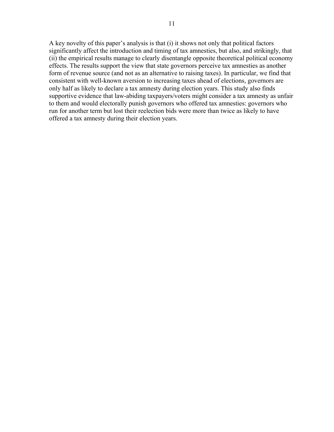A key novelty of this paper's analysis is that (i) it shows not only that political factors significantly affect the introduction and timing of tax amnesties, but also, and strikingly, that (ii) the empirical results manage to clearly disentangle opposite theoretical political economy effects. The results support the view that state governors perceive tax amnesties as another form of revenue source (and not as an alternative to raising taxes). In particular, we find that consistent with well-known aversion to increasing taxes ahead of elections, governors are only half as likely to declare a tax amnesty during election years. This study also finds supportive evidence that law-abiding taxpayers/voters might consider a tax amnesty as unfair to them and would electorally punish governors who offered tax amnesties: governors who run for another term but lost their reelection bids were more than twice as likely to have offered a tax amnesty during their election years.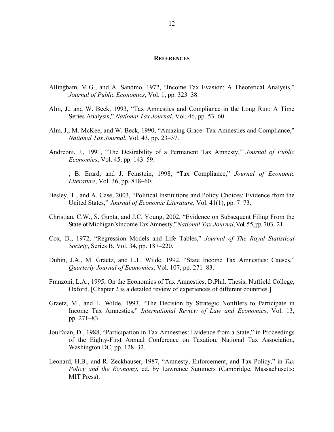#### **REFERENCES**

- Allingham, M.G., and A. Sandmo, 1972, "Income Tax Evasion: A Theoretical Analysis," *Journal of Public Economics*, Vol. 1, pp. 323–38.
- Alm, J., and W. Beck, 1993, "Tax Amnesties and Compliance in the Long Run: A Time Series Analysis," *National Tax Journal*, Vol. 46, pp. 53–60.
- Alm, J., M. McKee, and W. Beck, 1990, "Amazing Grace: Tax Amnesties and Compliance," *National Tax Journal*, Vol. 43, pp. 23–37.
- Andreoni, J., 1991, "The Desirability of a Permanent Tax Amnesty," *Journal of Public Economics*, Vol. 45, pp. 143–59.
- ———, B. Erard, and J. Feinstein, 1998, "Tax Compliance," *Journal of Economic Literature*, Vol. 36, pp. 818–60.
- Besley, T., and A. Case, 2003, "Political Institutions and Policy Choices: Evidence from the United States," *Journal of Economic Literature*, Vol. 41(1), pp. 7–73.
- Christian, C.W., S. Gupta, and J.C. Young, 2002, "Evidence on Subsequent Filing From the State of Michigan's Income Tax Amnesty," *National Tax Journal*, Vol. 55, pp. 703–21.
- Cox, D., 1972, "Regression Models and Life Tables," *Journal of The Royal Statistical Society*, Series B, Vol. 34, pp. 187–220.
- Dubin, J.A., M. Graetz, and L.L. Wilde, 1992, "State Income Tax Amnesties: Causes," *Quarterly Journal of Economics*, Vol. 107, pp. 271–83.
- Franzoni, L.A., 1995, On the Economics of Tax Amnesties, D.Phil. Thesis, Nuffield College, Oxford. [Chapter 2 is a detailed review of experiences of different countries.]
- Graetz, M., and L. Wilde, 1993, "The Decision by Strategic Nonfilers to Participate in Income Tax Amnesties," *International Review of Law and Economics*, Vol. 13, pp. 271–83.
- Joulfaian, D., 1988, "Participation in Tax Amnesties: Evidence from a State," in Proceedings of the Eighty-First Annual Conference on Taxation, National Tax Association, Washington DC, pp. 128–32.
- Leonard, H.B., and R. Zeckhauser, 1987, "Amnesty, Enforcement, and Tax Policy," in *Tax Policy and the Economy*, ed. by Lawrence Summers (Cambridge, Massachusetts: MIT Press).